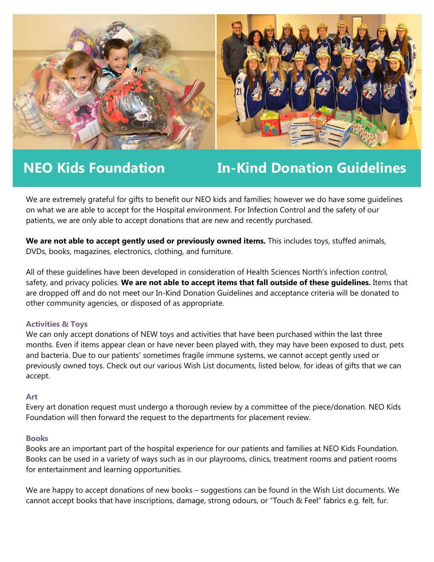

**NEO Kids Foundation In-Kind Donation Guidelines**

We are extremely grateful for gifts to benefit our NEO kids and families; however we do have some guidelines on what we are able to accept for the Hospital environment. For Infection Control and the safety of our patients, we are only able to accept donations that are new and recently purchased.

**We are not able to accept gently used or previously owned items.** This includes toys, stuffed animals, DVDs, books, magazines, electronics, clothing, and furniture.

All of these guidelines have been developed in consideration of Health Sciences North's infection control, safety, and privacy policies. **We are not able to accept items that fall outside of these guidelines.** Items that are dropped off and do not meet our In-Kind Donation Guidelines and acceptance criteria will be donated to other community agencies, or disposed of as appropriate.

# **Activities & Toys**

We can only accept donations of NEW toys and activities that have been purchased within the last three months. Even if items appear clean or have never been played with, they may have been exposed to dust, pets and bacteria. Due to our patients' sometimes fragile immune systems, we cannot accept gently used or previously owned toys. Check out our various Wish List documents, listed below, for ideas of gifts that we can accept.

# **Art**

Every art donation request must undergo a thorough review by a committee of the piece/donation. NEO Kids Foundation will then forward the request to the departments for placement review.

# **Books**

Books are an important part of the hospital experience for our patients and families at NEO Kids Foundation. Books can be used in a variety of ways such as in our playrooms, clinics, treatment rooms and patient rooms for entertainment and learning opportunities.

We are happy to accept donations of new books – suggestions can be found in the Wish List documents. We cannot accept books that have inscriptions, damage, strong odours, or "Touch & Feel" fabrics e.g. felt, fur.